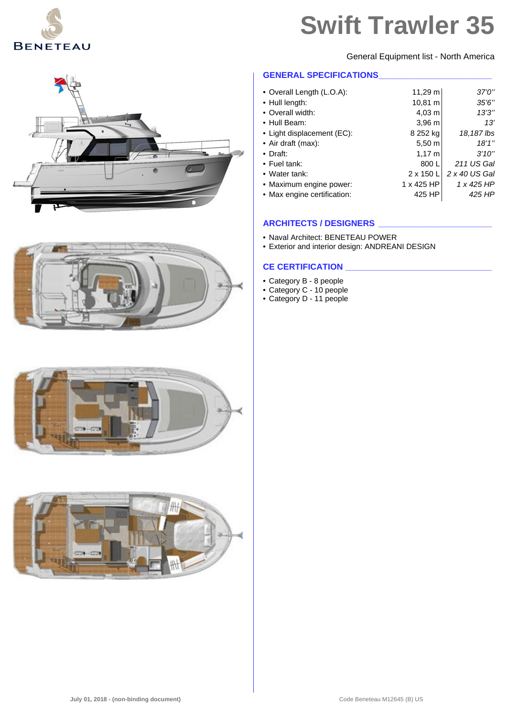

General Equipment list - North America

### **GENERAL SPECIFICATIONS\_\_\_\_\_\_\_\_\_\_\_\_\_\_\_\_\_\_\_\_\_\_\_\_**

| • Overall Length (L.O.A):   | $11,29 \text{ m}$ | 37'0''        |
|-----------------------------|-------------------|---------------|
| • Hull length:              | 10,81 m           | 35'6''        |
| • Overall width:            | $4,03 \; m$       | 13'3''        |
| • Hull Beam:                | $3,96$ m          | 13'           |
| • Light displacement (EC):  | 8 252 kg          | 18,187 lbs    |
| • Air draft (max):          | $5,50 \; m$       | 18'1''        |
| $\bullet$ Draft:            | $1,17 \; m$       | 3'10''        |
| • Fuel tank:                | 800 L             | 211 US Gal    |
| • Water tank:               | $2 \times 150$ L  | 2 x 40 US Gal |
| • Maximum engine power:     | 1 x 425 HP        | 1 x 425 HP    |
| • Max engine certification: | 425 HP            | 425 HP        |
|                             |                   |               |

#### **ARCHITECTS / DESIGNERS \_\_\_\_\_\_\_\_\_\_\_\_\_\_\_\_\_\_\_\_\_\_\_\_**

- Naval Architect: BENETEAU POWER
- Exterior and interior design: ANDREANI DESIGN

#### **CE CERTIFICATION**

- Category B 8 people
- Category C 10 people
- Category D 11 people





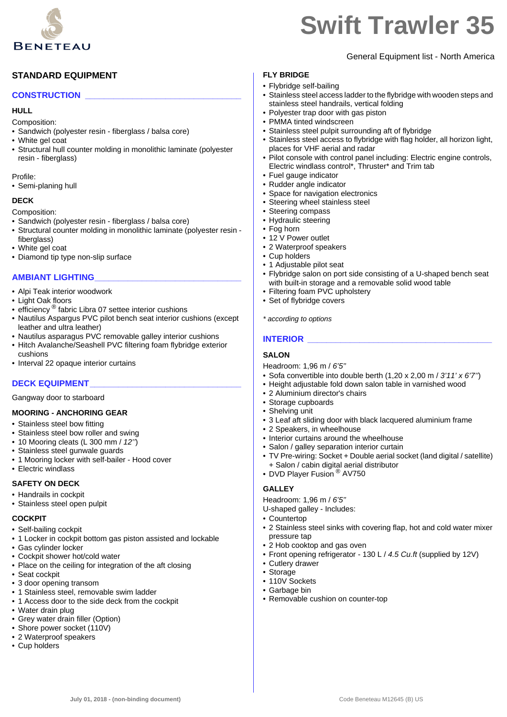

General Equipment list - North America

# **STANDARD EQUIPMENT**

#### **CONSTRUCTION \_\_\_\_\_\_\_\_\_\_\_\_\_\_\_\_\_\_\_\_\_\_\_\_\_\_\_\_\_\_\_\_\_**

#### **HULL**

Composition:

- Sandwich (polyester resin fiberglass / balsa core)
- White gel coat
- Structural hull counter molding in monolithic laminate (polyester resin - fiberglass)

Profile:

• Semi-planing hull

#### **DECK**

Composition:

- Sandwich (polyester resin fiberglass / balsa core)
- Structural counter molding in monolithic laminate (polyester resin fiberglass)
- White gel coat
- Diamond tip type non-slip surface

#### **AMBIANT LIGHTING\_\_\_\_\_\_\_\_\_\_\_\_\_\_\_\_\_\_\_\_\_\_\_\_\_\_\_\_\_\_\_**

- Alpi Teak interior woodwork
- Light Oak floors
- efficiency<sup>®</sup> fabric Libra 07 settee interior cushions
- Nautilus Aspargus PVC pilot bench seat interior cushions (except leather and ultra leather)
- Nautilus asparagus PVC removable galley interior cushions
- Hitch Avalanche/Seashell PVC filtering foam flybridge exterior cushions
- Interval 22 opaque interior curtains

## **DECK EQUIPMENT\_\_\_\_\_\_\_\_\_\_\_\_\_\_\_\_\_\_\_\_\_\_\_\_\_\_\_\_\_\_\_\_**

Gangway door to starboard

#### **MOORING - ANCHORING GEAR**

- Stainless steel bow fitting
- Stainless steel bow roller and swing
- 10 Mooring cleats (L 300 mm / *12''*)
- Stainless steel gunwale guards
- 1 Mooring locker with self-bailer Hood cover
- Electric windlass

#### **SAFETY ON DECK**

- Handrails in cockpit
- Stainless steel open pulpit

#### **COCKPIT**

- Self-bailing cockpit
- 1 Locker in cockpit bottom gas piston assisted and lockable
- Gas cylinder locker
- Cockpit shower hot/cold water
- Place on the ceiling for integration of the aft closing
- Seat cockpit
- 3 door opening transom
- 1 Stainless steel, removable swim ladder
- 1 Access door to the side deck from the cockpit
- Water drain plug
- Grey water drain filler (Option)
- Shore power socket (110V)
- 2 Waterproof speakers
- Cup holders

#### **FLY BRIDGE**

- Flybridge self-bailing
- Stainless steel access ladder to the flybridge with wooden steps and stainless steel handrails, vertical folding
- Polyester trap door with gas piston
- PMMA tinted windscreen
- Stainless steel pulpit surrounding aft of flybridge
- Stainless steel access to flybridge with flag holder, all horizon light, places for VHF aerial and radar
- Pilot console with control panel including: Electric engine controls, Electric windlass control\*, Thruster\* and Trim tab
- Fuel gauge indicator
- Rudder angle indicator
- Space for navigation electronics
- Steering wheel stainless steel
- Steering compass
- Hydraulic steering
- Fog horn
- 12 V Power outlet
- 2 Waterproof speakers
- Cup holders
- 1 Adjustable pilot seat
- Flybridge salon on port side consisting of a U-shaped bench seat with built-in storage and a removable solid wood table
- Filtering foam PVC upholstery
- Set of flybridge covers

*\* according to options*

#### **INTERIOR**

#### **SALON**

Headroom: 1,96 m / *6'5''*

- Sofa convertible into double berth (1,20 x 2,00 m / *3'11' x 6'7''*)
- Height adjustable fold down salon table in varnished wood
- 2 Aluminium director's chairs
- Storage cupboards
- Shelving unit
- 3 Leaf aft sliding door with black lacquered aluminium frame
- 2 Speakers, in wheelhouse
- Interior curtains around the wheelhouse
- Salon / galley separation interior curtain
- TV Pre-wiring: Socket + Double aerial socket (land digital / satellite) + Salon / cabin digital aerial distributor
- DVD Player Fusion<sup>®</sup> AV750

## **GALLEY**

Headroom: 1,96 m / *6'5''*

- U-shaped galley Includes:
- Countertop
- 2 Stainless steel sinks with covering flap, hot and cold water mixer pressure tap
- 2 Hob cooktop and gas oven
- Front opening refrigerator 130 L / *4.5 Cu.ft* (supplied by 12V)
- Cutlery drawer
- Storage

**July 01, 2018 - (non-binding document)** Code Beneteau M12645 (B) US

- 110V Sockets
- Garbage bin • Removable cushion on counter-top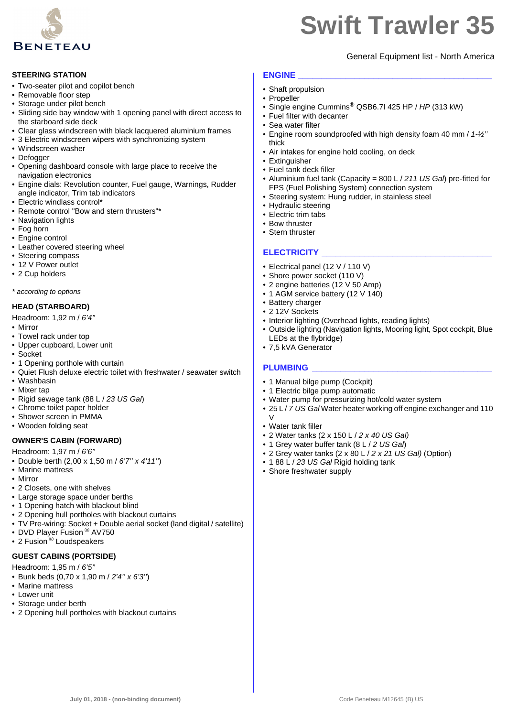

#### **STEERING STATION**

- Two-seater pilot and copilot bench
- Removable floor step
- Storage under pilot bench
- Sliding side bay window with 1 opening panel with direct access to the starboard side deck
- Clear glass windscreen with black lacquered aluminium frames
- 3 Electric windscreen wipers with synchronizing system
- Windscreen washer
- Defogger
- Opening dashboard console with large place to receive the navigation electronics
- Engine dials: Revolution counter, Fuel gauge, Warnings, Rudder angle indicator, Trim tab indicators
- Electric windlass control\*
- Remote control "Bow and stern thrusters"\*
- Navigation lights
- Fog horn
- Engine control
- Leather covered steering wheel
- Steering compass
- 12 V Power outlet
- 2 Cup holders

#### *\* according to options*

#### **HEAD (STARBOARD)**

Headroom: 1,92 m / *6'4''*

- Mirror
- Towel rack under top
- Upper cupboard, Lower unit
- Socket
- 1 Opening porthole with curtain
- Quiet Flush deluxe electric toilet with freshwater / seawater switch
- Washbasin
- Mixer tap
- Rigid sewage tank (88 L / *23 US Gal*)
- Chrome toilet paper holder
- Shower screen in PMMA
- Wooden folding seat

#### **OWNER'S CABIN (FORWARD)**

Headroom: 1,97 m / *6'6''*

- Double berth (2,00 x 1,50 m / *6'7'' x 4'11''*)
- Marine mattress
- Mirror
- 2 Closets, one with shelves
- Large storage space under berths
- 1 Opening hatch with blackout blind
- 2 Opening hull portholes with blackout curtains
- TV Pre-wiring: Socket + Double aerial socket (land digital / satellite)
- DVD Player Fusion ® AV750
- $\cdot$  2 Fusion<sup> $\circledast$ </sup> Loudspeakers

#### **GUEST CABINS (PORTSIDE)**

Headroom: 1,95 m / *6'5''*

- Bunk beds (0,70 x 1,90 m / *2'4'' x 6'3''*)
- Marine mattress
- Lower unit
- Storage under berth
- 2 Opening hull portholes with blackout curtains

# General Equipment list - North America

#### **ENGINE \_\_\_\_\_\_\_\_\_\_\_\_\_\_\_\_\_\_\_\_\_\_\_\_\_\_\_\_\_\_\_\_\_\_\_\_\_\_\_\_\_**

- Shaft propulsion
- Propeller
- Single engine Cummins® QSB6.7I 425 HP / *HP* (313 kW)
- Fuel filter with decanter
- Sea water filter
- Engine room soundproofed with high density foam 40 mm / *1-½''* thick
- Air intakes for engine hold cooling, on deck
- Extinguisher
- Fuel tank deck filler
- Aluminium fuel tank (Capacity = 800 L / *211 US Gal*) pre-fitted for FPS (Fuel Polishing System) connection system
- Steering system: Hung rudder, in stainless steel
- Hydraulic steering
- Electric trim tabs
- Bow thruster
- Stern thruster

#### **ELECTRICITY \_\_\_\_\_\_\_\_\_\_\_\_\_\_\_\_\_\_\_\_\_\_\_\_\_\_\_\_\_\_\_\_\_\_\_\_**

- Electrical panel (12 V / 110 V)
- Shore power socket (110 V)
- 2 engine batteries (12 V 50 Amp)
- 1 AGM service battery (12 V 140)
- Battery charger
- 2 12V Sockets
- Interior lighting (Overhead lights, reading lights)
- Outside lighting (Navigation lights, Mooring light, Spot cockpit, Blue LEDs at the flybridge)
- 7,5 kVA Generator

#### PLUMBING

- 1 Manual bilge pump (Cockpit)
- 1 Electric bilge pump automatic
- Water pump for pressurizing hot/cold water system
- 25 L / *7 US Gal* Water heater working off engine exchanger and 110  $\overline{V}$
- Water tank filler
- 2 Water tanks (2 x 150 L / *2 x 40 US Gal)*
- 1 Grey water buffer tank (8 L / *2 US Gal*)
- 2 Grey water tanks (2 x 80 L / *2 x 21 US Gal)* (Option)
- 1 88 L / 23 US Gal Rigid holding tank
- Shore freshwater supply